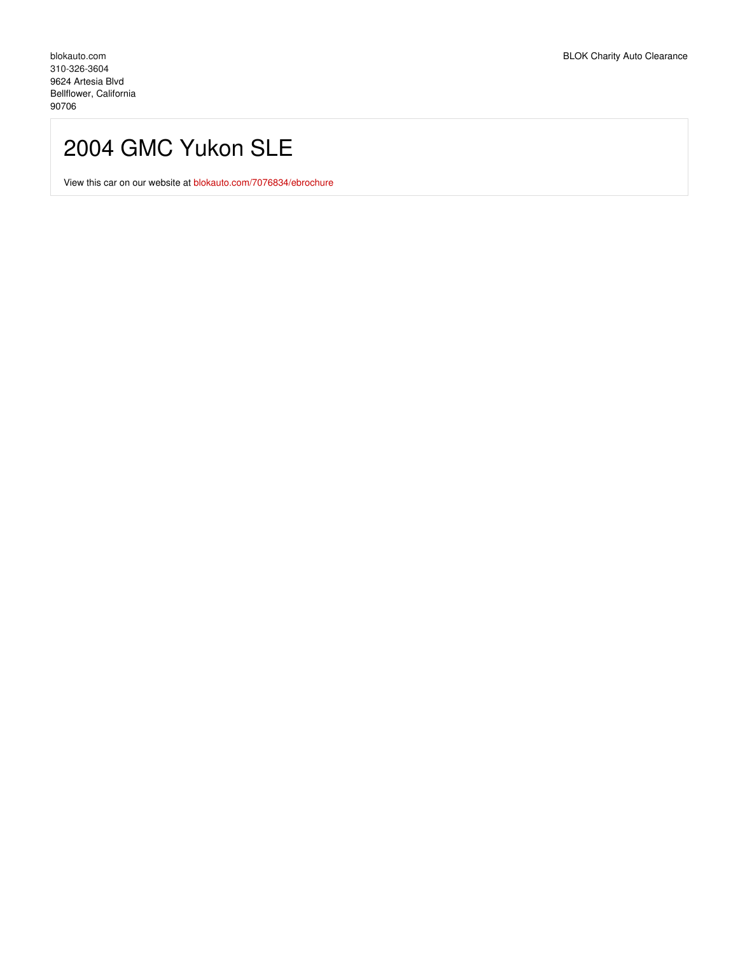## 2004 GMC Yukon SLE

View this car on our website at [blokauto.com/7076834/ebrochure](https://blokauto.com/vehicle/7076834/2004-gmc-yukon-sle-bellflower-california-90706/7076834/ebrochure)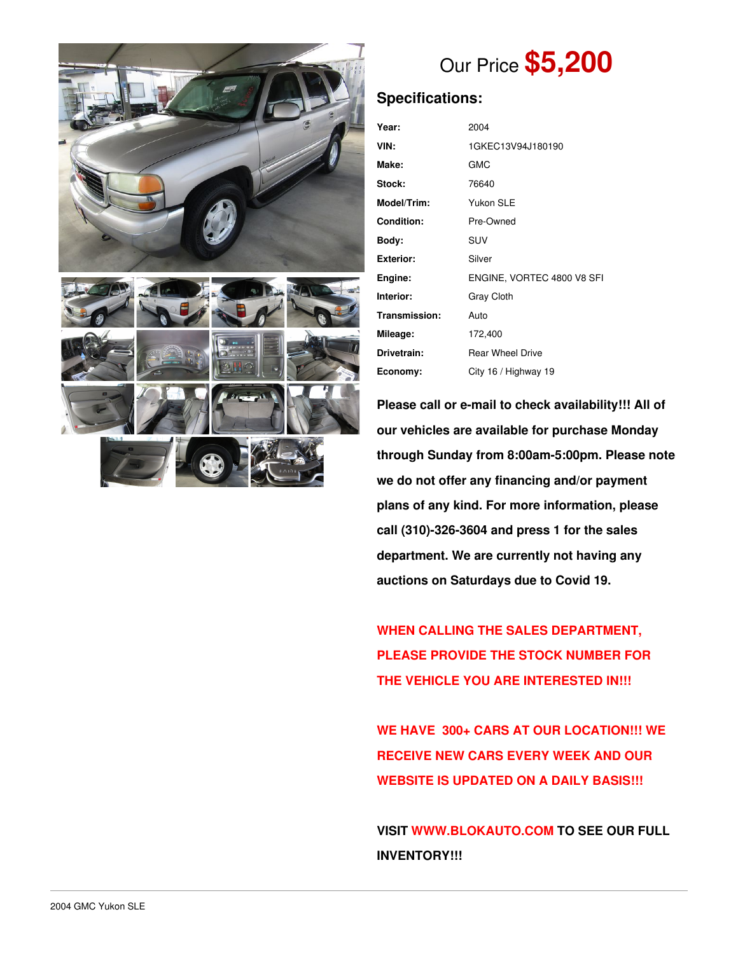



# Our Price **\$5,200**

## **Specifications:**

| Year:             | 2004                       |  |  |
|-------------------|----------------------------|--|--|
| VIN:              | 1GKEC13V94J180190          |  |  |
| Make:             | GMC                        |  |  |
| Stock:            | 76640                      |  |  |
| Model/Trim:       | Yukon SLE                  |  |  |
| <b>Condition:</b> | Pre-Owned                  |  |  |
| Body:             | <b>SUV</b>                 |  |  |
| <b>Exterior:</b>  | Silver                     |  |  |
| Engine:           | ENGINE, VORTEC 4800 V8 SFI |  |  |
| Interior:         | <b>Gray Cloth</b>          |  |  |
| Transmission:     | Auto                       |  |  |
| Mileage:          | 172,400                    |  |  |
| Drivetrain:       | <b>Rear Wheel Drive</b>    |  |  |
| Economy:          | City 16 / Highway 19       |  |  |

**Please call or e-mail to check availability!!! All of our vehicles are available for purchase Monday through Sunday from 8:00am-5:00pm. Please note we do not offer any financing and/or payment plans of any kind. For more information, please call (310)-326-3604 and press 1 for the sales department. We are currently not having any auctions on Saturdays due to Covid 19.**

**WHEN CALLING THE SALES DEPARTMENT, PLEASE PROVIDE THE STOCK NUMBER FOR THE VEHICLE YOU ARE INTERESTED IN!!!**

**WE HAVE 300+ CARS AT OUR LOCATION!!! WE RECEIVE NEW CARS EVERY WEEK AND OUR WEBSITE IS UPDATED ON A DAILY BASIS!!!**

**VISIT [WWW.BLOKAUTO.COM](http://www.blockauto.com) TO SEE OUR FULL INVENTORY!!!**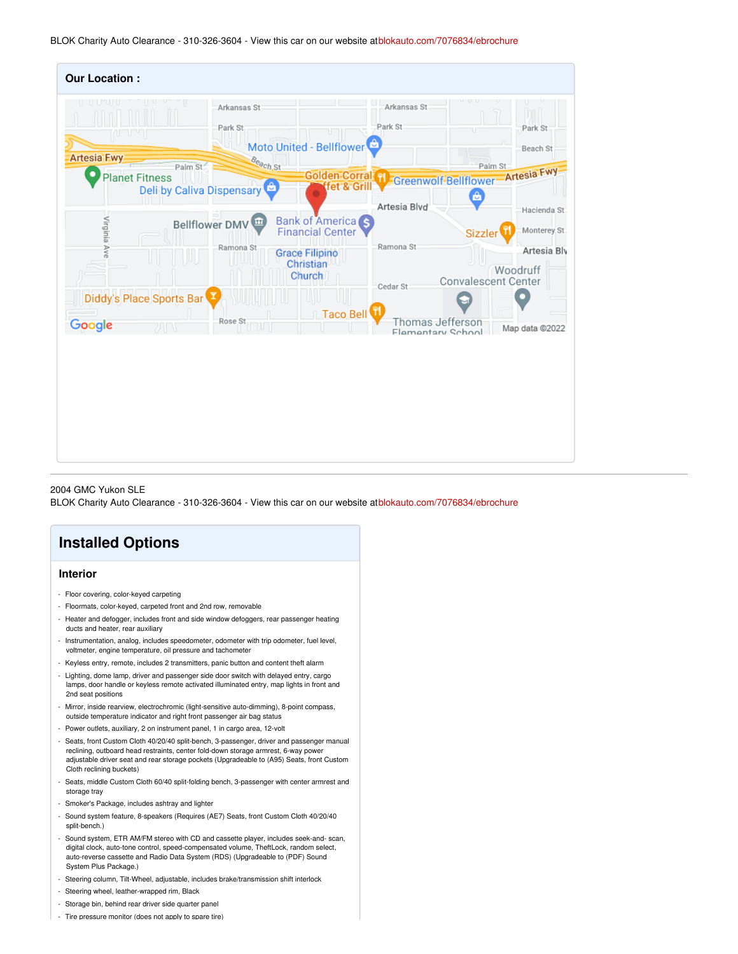BLOK Charity Auto Clearance - 310-326-3604 - View this car on our website at[blokauto.com/7076834/ebrochure](https://blokauto.com/vehicle/7076834/2004-gmc-yukon-sle-bellflower-california-90706/7076834/ebrochure)

| <b>Our Location:</b>     |                           |                                                     |                                       |                                        |
|--------------------------|---------------------------|-----------------------------------------------------|---------------------------------------|----------------------------------------|
| <b>Artesia-Fwy</b>       | Arkansas St<br>Park St    | Moto United - Bellflower                            | Arkansas St<br>Park St                | Park St<br>nп<br>Beach St              |
|                          | Beach St<br>Palm St       | Golden Corral H                                     |                                       | Palm St                                |
| <b>Planet Fitness</b>    | Deli by Caliva Dispensary | fet & Grill                                         |                                       | Greenwolf-Bellflower-Artesia Fwy       |
|                          |                           |                                                     | Artesia Blvd                          | A<br>Hacienda St                       |
| Virginia Ave             | Bellflower DMV            | <b>Bank of America</b> S<br><b>Financial Center</b> |                                       | Monterey St<br>Sizzler                 |
|                          | Ramona St                 | <b>Grace Filipino</b>                               | Ramona St                             | Artesia Blv                            |
|                          |                           | Christian<br><b>Church</b>                          | Cedar St                              | Woodruff<br><b>Convalescent Center</b> |
| Diddy's Place Sports Bar |                           |                                                     |                                       |                                        |
| Google<br>ЛN             | Rose St<br>w              | Taco Bell                                           | Thomas Jefferson<br>Flamentary School | Map data @2022                         |
|                          |                           |                                                     |                                       |                                        |
|                          |                           |                                                     |                                       |                                        |
|                          |                           |                                                     |                                       |                                        |
|                          |                           |                                                     |                                       |                                        |
|                          |                           |                                                     |                                       |                                        |
|                          |                           |                                                     |                                       |                                        |
|                          |                           |                                                     |                                       |                                        |

#### 2004 GMC Yukon SLE

BLOK Charity Auto Clearance - 310-326-3604 - View this car on our website at[blokauto.com/7076834/ebrochure](https://blokauto.com/vehicle/7076834/2004-gmc-yukon-sle-bellflower-california-90706/7076834/ebrochure)



#### **Interior**

- Floor covering, color-keyed carpeting
- Floormats, color-keyed, carpeted front and 2nd row, removable
- Heater and defogger, includes front and side window defoggers, rear passenger heating ducts and heater, rear auxiliary
- Instrumentation, analog, includes speedometer, odometer with trip odometer, fuel level, voltmeter, engine temperature, oil pressure and tachometer
- Keyless entry, remote, includes 2 transmitters, panic button and content theft alarm
- Lighting, dome lamp, driver and passenger side door switch with delayed entry, cargo lamps, door handle or keyless remote activated illuminated entry, map lights in front and 2nd seat positions
- Mirror, inside rearview, electrochromic (light-sensitive auto-dimming), 8-point compass, outside temperature indicator and right front passenger air bag status
- Power outlets, auxiliary, 2 on instrument panel, 1 in cargo area, 12-volt
- Seats, front Custom Cloth 40/20/40 split-bench, 3-passenger, driver and passenger manual reclining, outboard head restraints, center fold-down storage armrest, 6-way power adjustable driver seat and rear storage pockets (Upgradeable to (A95) Seats, front Custom Cloth reclining buckets)
- Seats, middle Custom Cloth 60/40 split-folding bench, 3-passenger with center armrest and storage tray
- Smoker's Package, includes ashtray and lighter
- Sound system feature, 8-speakers (Requires (AE7) Seats, front Custom Cloth 40/20/40 split-bench.)
- Sound system, ETR AM/FM stereo with CD and cassette player, includes seek-and- scan, digital clock, auto-tone control, speed-compensated volume, TheftLock, random select, auto-reverse cassette and Radio Data System (RDS) (Upgradeable to (PDF) Sound System Plus Package.)
- Steering column, Tilt-Wheel, adjustable, includes brake/transmission shift interlock
- Steering wheel, leather-wrapped rim, Black
- Storage bin, behind rear driver side quarter panel
- Tire pressure monitor (does not apply to spare tire)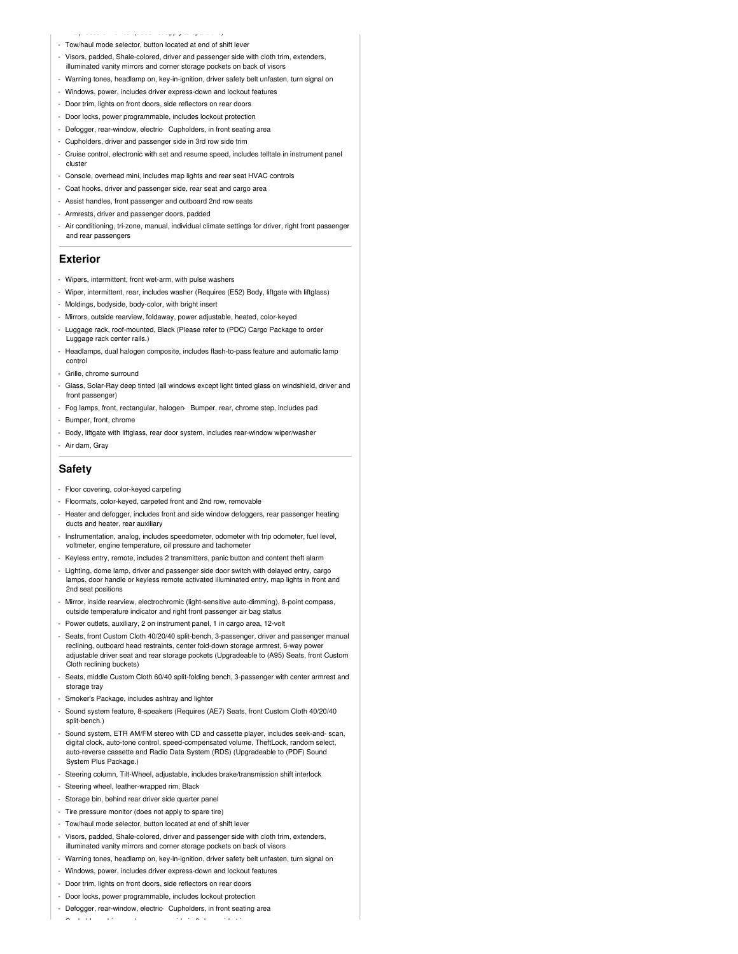- Tire pressure monitor (does not apply to spare tire) - Tow/haul mode selector, button located at end of shift leve
- Visors, padded, Shale-colored, driver and passenger side with cloth trim, extenders, illuminated vanity mirrors and corner storage pockets on back of visors
- Warning tones, headlamp on, key-in-ignition, driver safety belt unfasten, turn signal on
- Windows, power, includes driver express-down and lockout features
- Door trim, lights on front doors, side reflectors on rear doors
- Door locks, power programmable, includes lockout protection
- Defogger, rear-window, electric- Cupholders, in front seating area
- Cupholders, driver and passenger side in 3rd row side trim
- Cruise control, electronic with set and resume speed, includes telltale in instrument panel cluster
- Console, overhead mini, includes map lights and rear seat HVAC controls
- Coat hooks, driver and passenger side, rear seat and cargo area
- Assist handles, front passenger and outboard 2nd row seats
- Armrests, driver and passenger doors, padded
- Air conditioning, tri-zone, manual, individual climate settings for driver, right front passenger and rear passengers

#### **Exterior**

- Wipers, intermittent, front wet-arm, with pulse washers
- Wiper, intermittent, rear, includes washer (Requires (E52) Body, liftgate with liftglass)
- Moldings, bodyside, body-color, with bright insert
- Mirrors, outside rearview, foldaway, power adjustable, heated, color-keyed
- Luggage rack, roof-mounted, Black (Please refer to (PDC) Cargo Package to order Luggage rack center rails.)
- Headlamps, dual halogen composite, includes flash-to-pass feature and automatic lamp control
- Grille, chrome surround
- Glass, Solar-Ray deep tinted (all windows except light tinted glass on windshield, driver and front passenger)
- Fog lamps, front, rectangular, halogen- Bumper, rear, chrome step, includes pad
- Bumper, front, chrome
- Body, liftgate with liftglass, rear door system, includes rear-window wiper/washer
- Air dam, Gray

#### **Safety**

- Floor covering, color-keyed carpeting
- Floormats, color-keyed, carpeted front and 2nd row, removable
- Heater and defogger, includes front and side window defoggers, rear passenger heating ducts and heater, rear auxiliary
- Instrumentation, analog, includes speedometer, odometer with trip odometer, fuel level, voltmeter, engine temperature, oil pressure and tachometer
- Keyless entry, remote, includes 2 transmitters, panic button and content theft alarm
- Lighting, dome lamp, driver and passenger side door switch with delayed entry, cargo lamps, door handle or keyless remote activated illuminated entry, map lights in front and 2nd seat positions
- Mirror, inside rearview, electrochromic (light-sensitive auto-dimming), 8-point compass, outside temperature indicator and right front passenger air bag status
- Power outlets, auxiliary, 2 on instrument panel, 1 in cargo area, 12-volt
- Seats, front Custom Cloth 40/20/40 split-bench, 3-passenger, driver and passenger manual reclining, outboard head restraints, center fold-down storage armrest, 6-way power adjustable driver seat and rear storage pockets (Upgradeable to (A95) Seats, front Custom Cloth reclining buckets)
- Seats, middle Custom Cloth 60/40 split-folding bench, 3-passenger with center armrest and storage tray
- Smoker's Package, includes ashtray and lighter
- Sound system feature, 8-speakers (Requires (AE7) Seats, front Custom Cloth 40/20/40 split-bench.)
- Sound system, ETR AM/FM stereo with CD and cassette player, includes seek-and- scan, digital clock, auto-tone control, speed-compensated volume, TheftLock, random select, auto-reverse cassette and Radio Data System (RDS) (Upgradeable to (PDF) Sound System Plus Package.)
- Steering column, Tilt-Wheel, adjustable, includes brake/transmission shift interlock
- Steering wheel, leather-wrapped rim, Black
- Storage bin, behind rear driver side quarter panel
- Tire pressure monitor (does not apply to spare tire)
- Tow/haul mode selector, button located at end of shift lever
- Visors, padded, Shale-colored, driver and passenger side with cloth trim, extenders, illuminated vanity mirrors and corner storage pockets on back of visors
- Warning tones, headlamp on, key-in-ignition, driver safety belt unfasten, turn signal on
- Windows, power, includes driver express-down and lockout features
- Door trim, lights on front doors, side reflectors on rear doors
- Door locks, power programmable, includes lockout protection
- Defogger, rear-window, electric- Cupholders, in front seating area

- Cupholders, driver and passenger side in 3rd row side trim